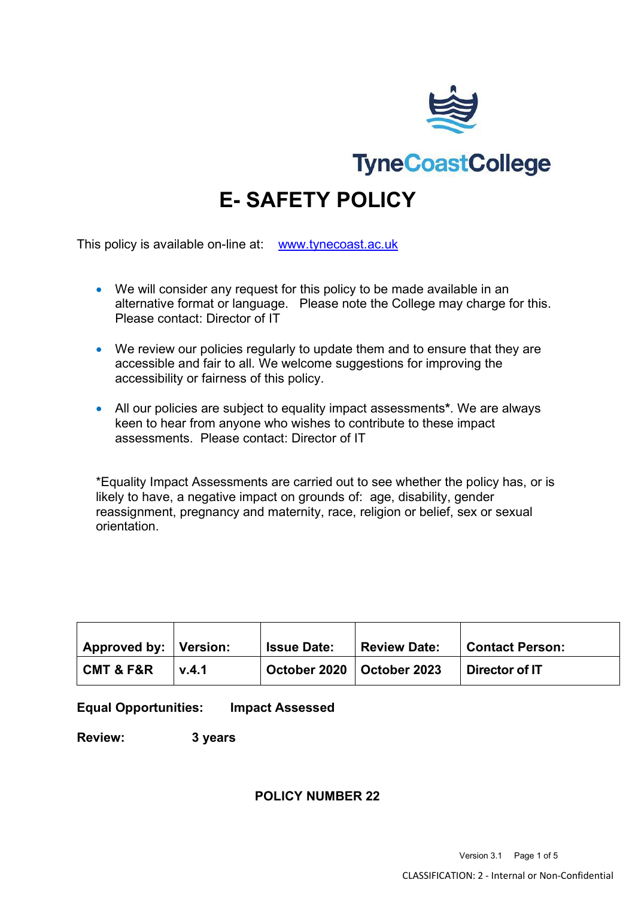

**TyneCoastCollege** 

# **E- SAFETY POLICY**

This policy is available on-line at: [www.tynecoast.ac.uk](http://www.tynecoast.ac.uk/)

- We will consider any request for this policy to be made available in an alternative format or language. Please note the College may charge for this. Please contact: Director of IT
- We review our policies regularly to update them and to ensure that they are accessible and fair to all. We welcome suggestions for improving the accessibility or fairness of this policy.
- All our policies are subject to equality impact assessments**\***. We are always keen to hear from anyone who wishes to contribute to these impact assessments. Please contact: Director of IT

\*Equality Impact Assessments are carried out to see whether the policy has, or is likely to have, a negative impact on grounds of: age, disability, gender reassignment, pregnancy and maternity, race, religion or belief, sex or sexual orientation.

| <b>Approved by: Version:</b> |       | <b>Issue Date:</b>          | <b>Review Date:</b> | <b>Contact Person:</b> |
|------------------------------|-------|-----------------------------|---------------------|------------------------|
| <b>CMT &amp; F&amp;R</b>     | V.4.1 | October 2020   October 2023 |                     | Director of IT         |

#### **Equal Opportunities: Impact Assessed**

**Review: 3 years**

## **POLICY NUMBER 22**

Version 3.1 Page 1 of 5 CLASSIFICATION: 2 - Internal or Non-Confidential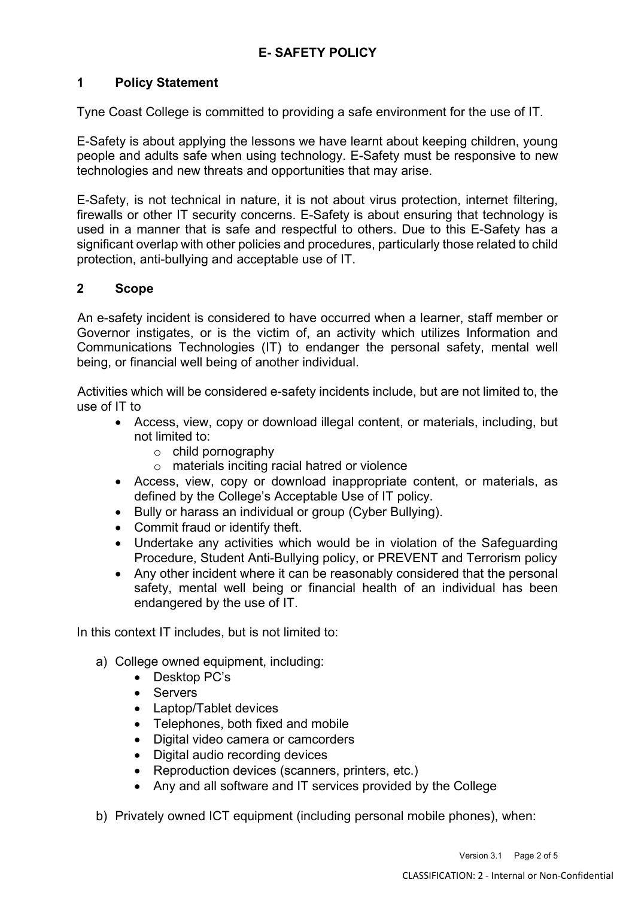# **1 Policy Statement**

Tyne Coast College is committed to providing a safe environment for the use of IT.

E-Safety is about applying the lessons we have learnt about keeping children, young people and adults safe when using technology. E-Safety must be responsive to new technologies and new threats and opportunities that may arise.

E-Safety, is not technical in nature, it is not about virus protection, internet filtering, firewalls or other IT security concerns. E-Safety is about ensuring that technology is used in a manner that is safe and respectful to others. Due to this E-Safety has a significant overlap with other policies and procedures, particularly those related to child protection, anti-bullying and acceptable use of IT.

## **2 Scope**

An e-safety incident is considered to have occurred when a learner, staff member or Governor instigates, or is the victim of, an activity which utilizes Information and Communications Technologies (IT) to endanger the personal safety, mental well being, or financial well being of another individual.

Activities which will be considered e-safety incidents include, but are not limited to, the use of IT to

- Access, view, copy or download illegal content, or materials, including, but not limited to:
	- o child pornography
	- o materials inciting racial hatred or violence
- Access, view, copy or download inappropriate content, or materials, as defined by the College's Acceptable Use of IT policy.
- Bully or harass an individual or group (Cyber Bullying).
- Commit fraud or identify theft.
- Undertake any activities which would be in violation of the Safeguarding Procedure, Student Anti-Bullying policy, or PREVENT and Terrorism policy
- Any other incident where it can be reasonably considered that the personal safety, mental well being or financial health of an individual has been endangered by the use of IT.

In this context IT includes, but is not limited to:

- a) College owned equipment, including:
	- Desktop PC's
	- Servers
	- Laptop/Tablet devices
	- Telephones, both fixed and mobile
	- Digital video camera or camcorders
	- Digital audio recording devices
	- Reproduction devices (scanners, printers, etc.)
	- Any and all software and IT services provided by the College
- b) Privately owned ICT equipment (including personal mobile phones), when: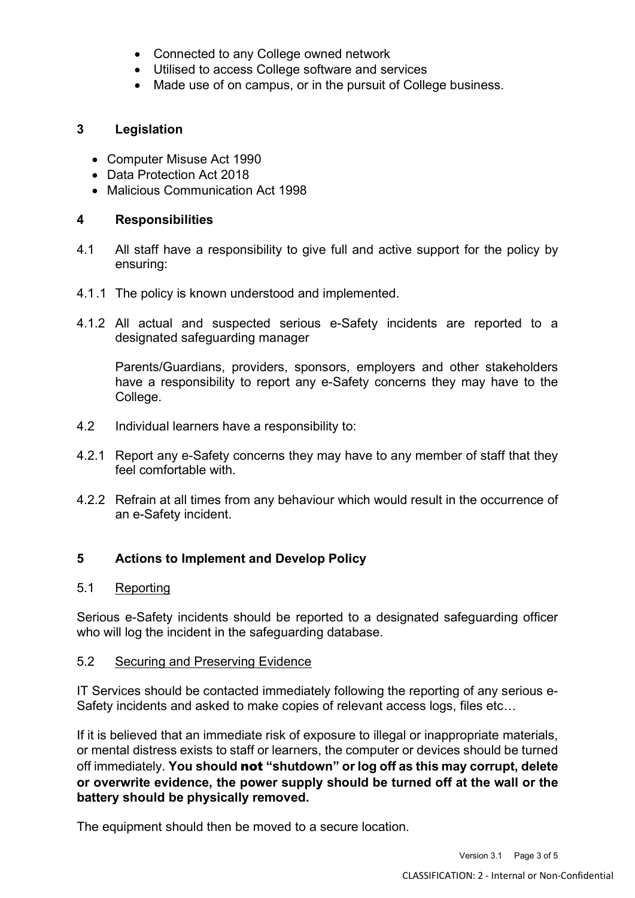- Connected to any College owned network
- Utilised to access College software and services
- Made use of on campus, or in the pursuit of College business.

# **3 Legislation**

- Computer Misuse Act 1990
- Data Protection Act 2018
- Malicious Communication Act 1998

# **4 Responsibilities**

- 4.1 All staff have a responsibility to give full and active support for the policy by ensuring:
- 4.1.1 The policy is known understood and implemented.
- 4.1.2 All actual and suspected serious e-Safety incidents are reported to a designated safeguarding manager

Parents/Guardians, providers, sponsors, employers and other stakeholders have a responsibility to report any e-Safety concerns they may have to the College.

- 4.2 Individual learners have a responsibility to:
- 4.2.1 Report any e-Safety concerns they may have to any member of staff that they feel comfortable with.
- 4.2.2 Refrain at all times from any behaviour which would result in the occurrence of an e-Safety incident.

# **5 Actions to Implement and Develop Policy**

## 5.1 Reporting

Serious e-Safety incidents should be reported to a designated safeguarding officer who will log the incident in the safeguarding database.

## 5.2 Securing and Preserving Evidence

IT Services should be contacted immediately following the reporting of any serious e-Safety incidents and asked to make copies of relevant access logs, files etc…

If it is believed that an immediate risk of exposure to illegal or inappropriate materials, or mental distress exists to staff or learners, the computer or devices should be turned off immediately. **You should** not **"shutdown" or log off as this may corrupt, delete or overwrite evidence, the power supply should be turned off at the wall or the battery should be physically removed.**

The equipment should then be moved to a secure location.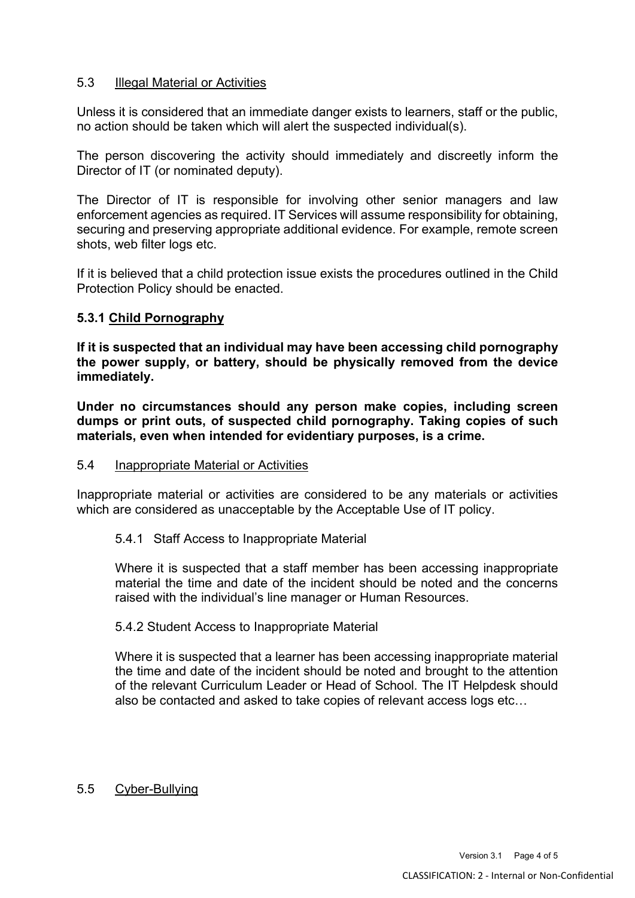## 5.3 Illegal Material or Activities

Unless it is considered that an immediate danger exists to learners, staff or the public, no action should be taken which will alert the suspected individual(s).

The person discovering the activity should immediately and discreetly inform the Director of IT (or nominated deputy).

The Director of IT is responsible for involving other senior managers and law enforcement agencies as required. IT Services will assume responsibility for obtaining, securing and preserving appropriate additional evidence. For example, remote screen shots, web filter logs etc.

If it is believed that a child protection issue exists the procedures outlined in the Child Protection Policy should be enacted.

#### **5.3.1 Child Pornography**

**If it is suspected that an individual may have been accessing child pornography the power supply, or battery, should be physically removed from the device immediately.** 

**Under no circumstances should any person make copies, including screen dumps or print outs, of suspected child pornography. Taking copies of such materials, even when intended for evidentiary purposes, is a crime.** 

#### 5.4 Inappropriate Material or Activities

Inappropriate material or activities are considered to be any materials or activities which are considered as unacceptable by the Acceptable Use of IT policy.

## 5.4.1 Staff Access to Inappropriate Material

Where it is suspected that a staff member has been accessing inappropriate material the time and date of the incident should be noted and the concerns raised with the individual's line manager or Human Resources.

#### 5.4.2 Student Access to Inappropriate Material

Where it is suspected that a learner has been accessing inappropriate material the time and date of the incident should be noted and brought to the attention of the relevant Curriculum Leader or Head of School. The IT Helpdesk should also be contacted and asked to take copies of relevant access logs etc…

## 5.5 Cyber-Bullying